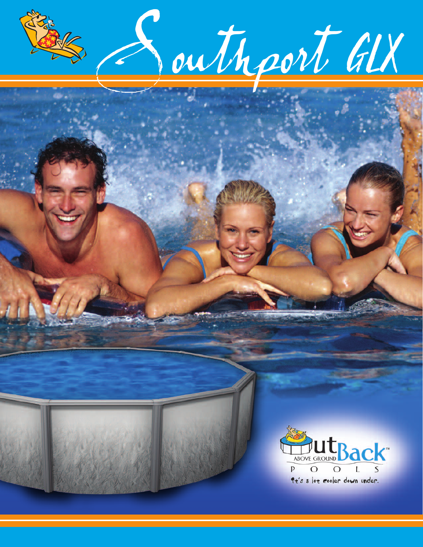